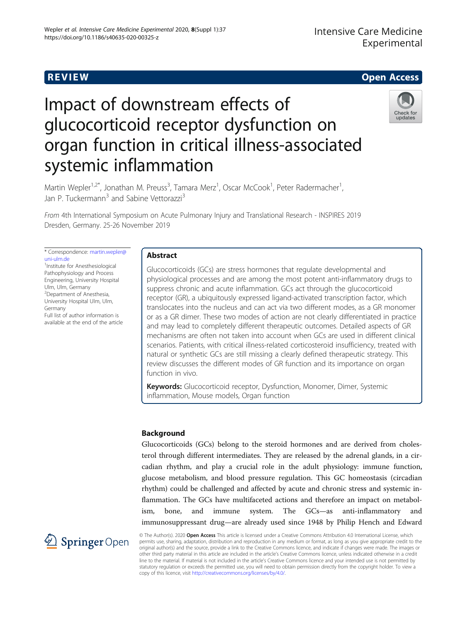# **REVIEW CONSTRUCTION CONSTRUCTION CONSTRUCTS**

# Impact of downstream effects of glucocorticoid receptor dysfunction on organ function in critical illness-associated systemic inflammation



Martin Wepler<sup>1,2\*</sup>, Jonathan M. Preuss<sup>3</sup>, Tamara Merz<sup>1</sup>, Oscar McCook<sup>1</sup>, Peter Radermacher<sup>1</sup> , Jan P. Tuckermann<sup>3</sup> and Sabine Vettorazzi<sup>3</sup>

From 4th International Symposium on Acute Pulmonary Injury and Translational Research - INSPIRES 2019 Dresden, Germany. 25-26 November 2019

\* Correspondence: [martin.wepler@](mailto:martin.wepler@uni-ulm.de) [uni-ulm.de](mailto:martin.wepler@uni-ulm.de)

<sup>1</sup>Institute for Anesthesiological Pathophysiology and Process Engineering, University Hospital Ulm, Ulm, Germany <sup>2</sup>Department of Anesthesia, University Hospital Ulm, Ulm, Germany Full list of author information is available at the end of the article

# Abstract

Glucocorticoids (GCs) are stress hormones that regulate developmental and physiological processes and are among the most potent anti-inflammatory drugs to suppress chronic and acute inflammation. GCs act through the glucocorticoid receptor (GR), a ubiquitously expressed ligand-activated transcription factor, which translocates into the nucleus and can act via two different modes, as a GR monomer or as a GR dimer. These two modes of action are not clearly differentiated in practice and may lead to completely different therapeutic outcomes. Detailed aspects of GR mechanisms are often not taken into account when GCs are used in different clinical scenarios. Patients, with critical illness-related corticosteroid insufficiency, treated with natural or synthetic GCs are still missing a clearly defined therapeutic strategy. This review discusses the different modes of GR function and its importance on organ function in vivo.

Keywords: Glucocorticoid receptor, Dysfunction, Monomer, Dimer, Systemic inflammation, Mouse models, Organ function

# Background

Glucocorticoids (GCs) belong to the steroid hormones and are derived from cholesterol through different intermediates. They are released by the adrenal glands, in a circadian rhythm, and play a crucial role in the adult physiology: immune function, glucose metabolism, and blood pressure regulation. This GC homeostasis (circadian rhythm) could be challenged and affected by acute and chronic stress and systemic inflammation. The GCs have multifaceted actions and therefore an impact on metabolism, bone, and immune system. The GCs—as anti-inflammatory and immunosuppressant drug—are already used since 1948 by Philip Hench and Edward



© The Author(s). 2020 Open Access This article is licensed under a Creative Commons Attribution 4.0 International License, which permits use, sharing, adaptation, distribution and reproduction in any medium or format, as long as you give appropriate credit to the original author(s) and the source, provide a link to the Creative Commons licence, and indicate if changes were made. The images or other third party material in this article are included in the article's Creative Commons licence, unless indicated otherwise in a credit line to the material. If material is not included in the article's Creative Commons licence and your intended use is not permitted by statutory regulation or exceeds the permitted use, you will need to obtain permission directly from the copyright holder. To view a copy of this licence, visit <http://creativecommons.org/licenses/by/4.0/>.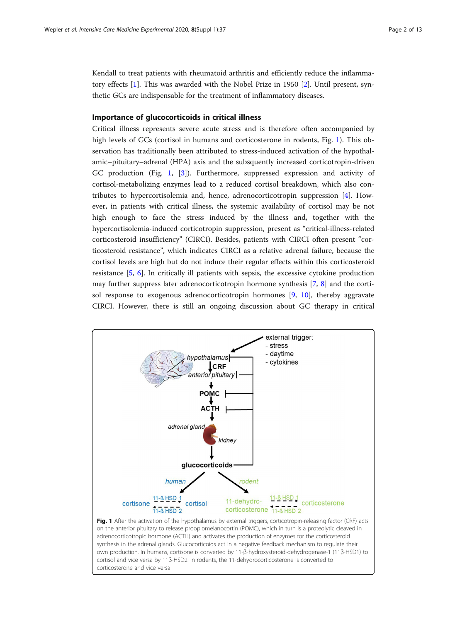<span id="page-1-0"></span>Kendall to treat patients with rheumatoid arthritis and efficiently reduce the inflammatory effects [[1\]](#page-10-0). This was awarded with the Nobel Prize in 1950 [\[2](#page-10-0)]. Until present, synthetic GCs are indispensable for the treatment of inflammatory diseases.

## Importance of glucocorticoids in critical illness

Critical illness represents severe acute stress and is therefore often accompanied by high levels of GCs (cortisol in humans and corticosterone in rodents, Fig. 1). This observation has traditionally been attributed to stress-induced activation of the hypothalamic–pituitary–adrenal (HPA) axis and the subsquently increased corticotropin-driven GC production (Fig. 1, [[3\]](#page-10-0)). Furthermore, suppressed expression and activity of cortisol-metabolizing enzymes lead to a reduced cortisol breakdown, which also contributes to hypercortisolemia and, hence, adrenocorticotropin suppression [[4](#page-10-0)]. However, in patients with critical illness, the systemic availability of cortisol may be not high enough to face the stress induced by the illness and, together with the hypercortisolemia-induced corticotropin suppression, present as "critical-illness-related corticosteroid insufficiency" (CIRCI). Besides, patients with CIRCI often present "corticosteroid resistance", which indicates CIRCI as a relative adrenal failure, because the cortisol levels are high but do not induce their regular effects within this corticosteroid resistance [\[5](#page-10-0), [6\]](#page-10-0). In critically ill patients with sepsis, the excessive cytokine production may further suppress later adrenocorticotropin hormone synthesis [[7,](#page-10-0) [8\]](#page-10-0) and the cortisol response to exogenous adrenocorticotropin hormones [[9,](#page-10-0) [10\]](#page-10-0), thereby aggravate CIRCI. However, there is still an ongoing discussion about GC therapy in critical

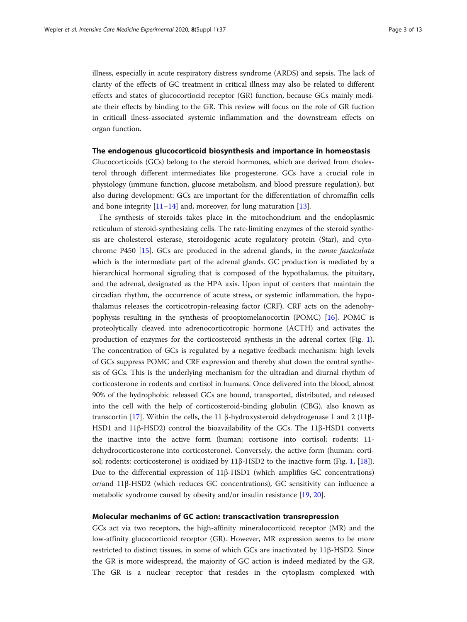illness, especially in acute respiratory distress syndrome (ARDS) and sepsis. The lack of clarity of the effects of GC treatment in critical illness may also be related to different effects and states of glucocortiocid receptor (GR) function, because GCs mainly mediate their effects by binding to the GR. This review will focus on the role of GR fuction in criticall ilness-associated systemic inflammation and the downstream effects on organ function.

## The endogenous glucocorticoid biosynthesis and importance in homeostasis

Glucocorticoids (GCs) belong to the steroid hormones, which are derived from cholesterol through different intermediates like progesterone. GCs have a crucial role in physiology (immune function, glucose metabolism, and blood pressure regulation), but also during development: GCs are important for the differentiation of chromaffin cells and bone integrity  $[11-14]$  $[11-14]$  $[11-14]$  $[11-14]$  $[11-14]$  and, moreover, for lung maturation  $[13]$  $[13]$ .

The synthesis of steroids takes place in the mitochondrium and the endoplasmic reticulum of steroid-synthesizing cells. The rate-limiting enzymes of the steroid synthesis are cholesterol esterase, steroidogenic acute regulatory protein (Star), and cytochrome P450 [[15](#page-10-0)]. GCs are produced in the adrenal glands, in the zonae fasciculata which is the intermediate part of the adrenal glands. GC production is mediated by a hierarchical hormonal signaling that is composed of the hypothalamus, the pituitary, and the adrenal, designated as the HPA axis. Upon input of centers that maintain the circadian rhythm, the occurrence of acute stress, or systemic inflammation, the hypothalamus releases the corticotropin-releasing factor (CRF). CRF acts on the adenohypophysis resulting in the synthesis of proopiomelanocortin (POMC) [[16](#page-10-0)]. POMC is proteolytically cleaved into adrenocorticotropic hormone (ACTH) and activates the production of enzymes for the corticosteroid synthesis in the adrenal cortex (Fig. [1](#page-1-0)). The concentration of GCs is regulated by a negative feedback mechanism: high levels of GCs suppress POMC and CRF expression and thereby shut down the central synthesis of GCs. This is the underlying mechanism for the ultradian and diurnal rhythm of corticosterone in rodents and cortisol in humans. Once delivered into the blood, almost 90% of the hydrophobic released GCs are bound, transported, distributed, and released into the cell with the help of corticosteroid-binding globulin (CBG), also known as transcortin [[17](#page-10-0)]. Within the cells, the 11 β-hydroxysteroid dehydrogenase 1 and 2 (11β-HSD1 and 11β-HSD2) control the bioavailability of the GCs. The 11β-HSD1 converts the inactive into the active form (human: cortisone into cortisol; rodents: 11 dehydrocorticosterone into corticosterone). Conversely, the active form (human: corti-sol; rodents: corticosterone) is oxidized by 11β-HSD2 to the inactive form (Fig. [1,](#page-1-0) [\[18](#page-10-0)]). Due to the differential expression of 11β-HSD1 (which amplifies GC concentrations) or/and 11β-HSD2 (which reduces GC concentrations), GC sensitivity can influence a metabolic syndrome caused by obesity and/or insulin resistance [[19,](#page-10-0) [20\]](#page-10-0).

## Molecular mechanims of GC action: transcactivation transrepression

GCs act via two receptors, the high-affinity mineralocorticoid receptor (MR) and the low-affinity glucocorticoid receptor (GR). However, MR expression seems to be more restricted to distinct tissues, in some of which GCs are inactivated by 11β-HSD2. Since the GR is more widespread, the majority of GC action is indeed mediated by the GR. The GR is a nuclear receptor that resides in the cytoplasm complexed with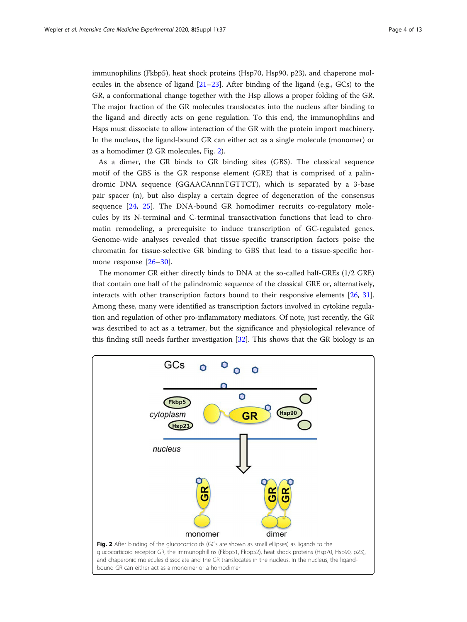immunophilins (Fkbp5), heat shock proteins (Hsp70, Hsp90, p23), and chaperone molecules in the absence of ligand  $[21-23]$  $[21-23]$  $[21-23]$ . After binding of the ligand (e.g., GCs) to the GR, a conformational change together with the Hsp allows a proper folding of the GR. The major fraction of the GR molecules translocates into the nucleus after binding to the ligand and directly acts on gene regulation. To this end, the immunophilins and Hsps must dissociate to allow interaction of the GR with the protein import machinery. In the nucleus, the ligand-bound GR can either act as a single molecule (monomer) or as a homodimer (2 GR molecules, Fig. 2).

As a dimer, the GR binds to GR binding sites (GBS). The classical sequence motif of the GBS is the GR response element (GRE) that is comprised of a palindromic DNA sequence (GGAACAnnnTGTTCT), which is separated by a 3-base pair spacer (n), but also display a certain degree of degeneration of the consensus sequence [\[24](#page-10-0), [25\]](#page-10-0). The DNA-bound GR homodimer recruits co-regulatory molecules by its N-terminal and C-terminal transactivation functions that lead to chromatin remodeling, a prerequisite to induce transcription of GC-regulated genes. Genome-wide analyses revealed that tissue-specific transcription factors poise the chromatin for tissue-selective GR binding to GBS that lead to a tissue-specific hormone response [[26](#page-10-0)–[30\]](#page-10-0).

The monomer GR either directly binds to DNA at the so-called half-GREs (1/2 GRE) that contain one half of the palindromic sequence of the classical GRE or, alternatively, interacts with other transcription factors bound to their responsive elements [[26](#page-10-0), [31](#page-10-0)]. Among these, many were identified as transcription factors involved in cytokine regulation and regulation of other pro-inflammatory mediators. Of note, just recently, the GR was described to act as a tetramer, but the significance and physiological relevance of this finding still needs further investigation [\[32](#page-11-0)]. This shows that the GR biology is an

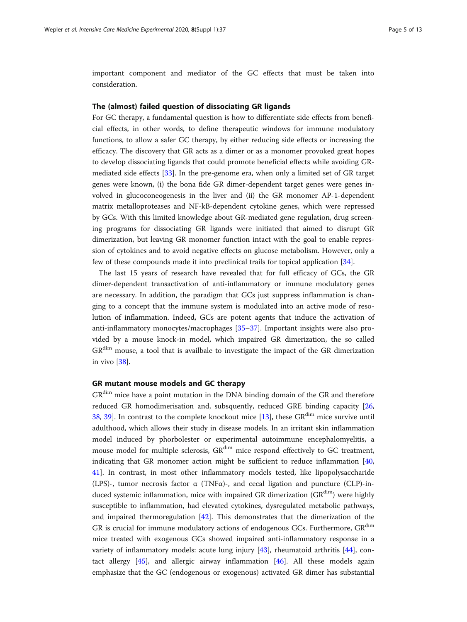important component and mediator of the GC effects that must be taken into consideration.

## The (almost) failed question of dissociating GR ligands

For GC therapy, a fundamental question is how to differentiate side effects from beneficial effects, in other words, to define therapeutic windows for immune modulatory functions, to allow a safer GC therapy, by either reducing side effects or increasing the efficacy. The discovery that GR acts as a dimer or as a monomer provoked great hopes to develop dissociating ligands that could promote beneficial effects while avoiding GRmediated side effects [[33\]](#page-11-0). In the pre-genome era, when only a limited set of GR target genes were known, (i) the bona fide GR dimer-dependent target genes were genes involved in glucoconeogenesis in the liver and (ii) the GR monomer AP-1-dependent matrix metalloproteases and NF-kB-dependent cytokine genes, which were repressed by GCs. With this limited knowledge about GR-mediated gene regulation, drug screening programs for dissociating GR ligands were initiated that aimed to disrupt GR dimerization, but leaving GR monomer function intact with the goal to enable repression of cytokines and to avoid negative effects on glucose metabolism. However, only a few of these compounds made it into preclinical trails for topical application [\[34](#page-11-0)].

The last 15 years of research have revealed that for full efficacy of GCs, the GR dimer-dependent transactivation of anti-inflammatory or immune modulatory genes are necessary. In addition, the paradigm that GCs just suppress inflammation is changing to a concept that the immune system is modulated into an active mode of resolution of inflammation. Indeed, GCs are potent agents that induce the activation of anti-inflammatory monocytes/macrophages [\[35](#page-11-0)–[37\]](#page-11-0). Important insights were also provided by a mouse knock-in model, which impaired GR dimerization, the so called  $GR<sup>dim</sup>$  mouse, a tool that is availbale to investigate the impact of the GR dimerization in vivo [\[38](#page-11-0)].

## GR mutant mouse models and GC therapy

GR<sup>dim</sup> mice have a point mutation in the DNA binding domain of the GR and therefore reduced GR homodimerisation and, subsquently, reduced GRE binding capacity [[26](#page-10-0), [38](#page-11-0), [39](#page-11-0)]. In contrast to the complete knockout mice  $[13]$  $[13]$  $[13]$ , these  $GR^{dim}$  mice survive until adulthood, which allows their study in disease models. In an irritant skin inflammation model induced by phorbolester or experimental autoimmune encephalomyelitis, a mouse model for multiple sclerosis, GR<sup>dim</sup> mice respond effectively to GC treatment, indicating that GR monomer action might be sufficient to reduce inflammation [[40](#page-11-0), [41](#page-11-0)]. In contrast, in most other inflammatory models tested, like lipopolysaccharide (LPS)-, tumor necrosis factor  $\alpha$  (TNF $\alpha$ )-, and cecal ligation and puncture (CLP)-induced systemic inflammation, mice with impaired GR dimerization (GR<sup>dim</sup>) were highly susceptible to inflammation, had elevated cytokines, dysregulated metabolic pathways, and impaired thermoregulation [[42\]](#page-11-0). This demonstrates that the dimerization of the GR is crucial for immune modulatory actions of endogenous GCs. Furthermore, GR<sup>dim</sup> mice treated with exogenous GCs showed impaired anti-inflammatory response in a variety of inflammatory models: acute lung injury [\[43](#page-11-0)], rheumatoid arthritis [\[44](#page-11-0)], contact allergy [[45\]](#page-11-0), and allergic airway inflammation [\[46](#page-11-0)]. All these models again emphasize that the GC (endogenous or exogenous) activated GR dimer has substantial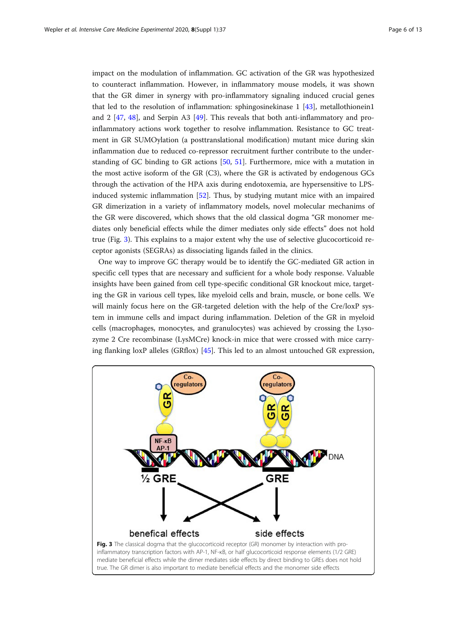impact on the modulation of inflammation. GC activation of the GR was hypothesized to counteract inflammation. However, in inflammatory mouse models, it was shown that the GR dimer in synergy with pro-inflammatory signaling induced crucial genes that led to the resolution of inflammation: sphingosinekinase 1 [\[43](#page-11-0)], metallothionein1 and 2 [\[47,](#page-11-0) [48](#page-11-0)], and Serpin A3 [[49](#page-11-0)]. This reveals that both anti-inflammatory and proinflammatory actions work together to resolve inflammation. Resistance to GC treatment in GR SUMOylation (a posttranslational modification) mutant mice during skin inflammation due to reduced co-repressor recruitment further contribute to the understanding of GC binding to GR actions [[50,](#page-11-0) [51](#page-11-0)]. Furthermore, mice with a mutation in the most active isoform of the GR (C3), where the GR is activated by endogenous GCs through the activation of the HPA axis during endotoxemia, are hypersensitive to LPSinduced systemic inflammation [[52](#page-11-0)]. Thus, by studying mutant mice with an impaired GR dimerization in a variety of inflammatory models, novel molecular mechanims of the GR were discovered, which shows that the old classical dogma "GR monomer mediates only beneficial effects while the dimer mediates only side effects" does not hold true (Fig. 3). This explains to a major extent why the use of selective glucocorticoid receptor agonists (SEGRAs) as dissociating ligands failed in the clinics.

One way to improve GC therapy would be to identify the GC-mediated GR action in specific cell types that are necessary and sufficient for a whole body response. Valuable insights have been gained from cell type-specific conditional GR knockout mice, targeting the GR in various cell types, like myeloid cells and brain, muscle, or bone cells. We will mainly focus here on the GR-targeted deletion with the help of the Cre/loxP system in immune cells and impact during inflammation. Deletion of the GR in myeloid cells (macrophages, monocytes, and granulocytes) was achieved by crossing the Lysozyme 2 Cre recombinase (LysMCre) knock-in mice that were crossed with mice carrying flanking loxP alleles (GRflox) [[45](#page-11-0)]. This led to an almost untouched GR expression,

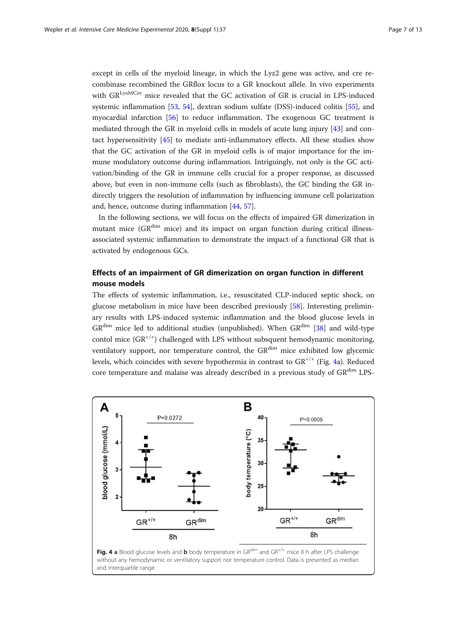<span id="page-6-0"></span>except in cells of the myeloid lineage, in which the Lyz2 gene was active, and cre recombinase recombined the GRflox locus to a GR knockout allele. In vivo experiments with GR<sup>LysMCre</sup> mice revealed that the GC activation of GR is crucial in LPS-induced systemic inflammation [\[53](#page-11-0), [54\]](#page-11-0), dextran sodium sulfate (DSS)-induced colitis [[55\]](#page-11-0), and myocardial infarction [[56\]](#page-11-0) to reduce inflammation. The exogenous GC treatment is mediated through the GR in myeloid cells in models of acute lung injury [[43\]](#page-11-0) and contact hypersensitivity [\[45](#page-11-0)] to mediate anti-inflammatory effects. All these studies show that the GC activation of the GR in myeloid cells is of major importance for the immune modulatory outcome during inflammation. Intriguingly, not only is the GC activation/binding of the GR in immune cells crucial for a proper response, as discussed above, but even in non-immune cells (such as fibroblasts), the GC binding the GR indirectly triggers the resolution of inflammation by influencing immune cell polarization and, hence, outcome during inflammation [\[44,](#page-11-0) [57\]](#page-11-0).

In the following sections, we will focus on the effects of impaired GR dimerization in mutant mice ( $GR^{dim}$  mice) and its impact on organ function during critical illnessassociated systemic inflammation to demonstrate the impact of a functional GR that is activated by endogenous GCs.

# Effects of an impairment of GR dimerization on organ function in different mouse models

The effects of systemic inflammation, i.e., resuscitated CLP-induced septic shock, on glucose metabolism in mice have been described previously [\[58\]](#page-11-0). Interesting preliminary results with LPS-induced systemic inflammation and the blood glucose levels in  $GR^{dim}$  mice led to additional studies (unpublished). When  $GR^{dim}$  [[38\]](#page-11-0) and wild-type contol mice  $(GR^{+/})$  challenged with LPS without subsquent hemodynamic monitoring, ventilatory support, nor temperature control, the  $GR^{dim}$  mice exhibited low glycemic levels, which coincides with severe hypothermia in contrast to GR+/+ (Fig. 4a). Reduced core temperature and malaise was already described in a previous study of GRdim LPS-



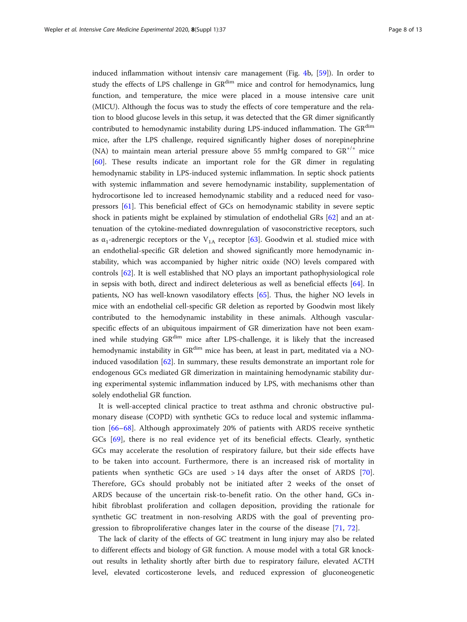induced inflammation without intensiv care management (Fig. [4b](#page-6-0), [[59\]](#page-11-0)). In order to study the effects of LPS challenge in GR<sup>dim</sup> mice and control for hemodynamics, lung function, and temperature, the mice were placed in a mouse intensive care unit (MICU). Although the focus was to study the effects of core temperature and the relation to blood glucose levels in this setup, it was detected that the GR dimer significantly contributed to hemodynamic instability during LPS-induced inflammation. The GR<sup>dim</sup> mice, after the LPS challenge, required significantly higher doses of norepinephrine (NA) to maintain mean arterial pressure above 55 mmHg compared to  $GR^{+/+}$  mice [[60\]](#page-11-0). These results indicate an important role for the GR dimer in regulating hemodynamic stability in LPS-induced systemic inflammation. In septic shock patients with systemic inflammation and severe hemodynamic instability, supplementation of hydrocortisone led to increased hemodynamic stability and a reduced need for vasopressors [\[61\]](#page-11-0). This beneficial effect of GCs on hemodynamic stability in severe septic shock in patients might be explained by stimulation of endothelial GRs [[62\]](#page-11-0) and an attenuation of the cytokine-mediated downregulation of vasoconstrictive receptors, such as  $\alpha_1$ -adrenergic receptors or the V<sub>1A</sub> receptor [\[63](#page-12-0)]. Goodwin et al. studied mice with an endothelial-specific GR deletion and showed significantly more hemodynamic instability, which was accompanied by higher nitric oxide (NO) levels compared with controls [\[62](#page-11-0)]. It is well established that NO plays an important pathophysiological role in sepsis with both, direct and indirect deleterious as well as beneficial effects [\[64\]](#page-12-0). In patients, NO has well-known vasodilatory effects [[65](#page-12-0)]. Thus, the higher NO levels in mice with an endothelial cell-specific GR deletion as reported by Goodwin most likely contributed to the hemodynamic instability in these animals. Although vascularspecific effects of an ubiquitous impairment of GR dimerization have not been examined while studying GR<sup>dim</sup> mice after LPS-challenge, it is likely that the increased hemodynamic instability in GR<sup>dim</sup> mice has been, at least in part, meditated via a NOinduced vasodilation [\[62](#page-11-0)]. In summary, these results demonstrate an important role for endogenous GCs mediated GR dimerization in maintaining hemodynamic stability during experimental systemic inflammation induced by LPS, with mechanisms other than solely endothelial GR function.

It is well-accepted clinical practice to treat asthma and chronic obstructive pulmonary disease (COPD) with synthetic GCs to reduce local and systemic inflammation [[66](#page-12-0)–[68\]](#page-12-0). Although approximately 20% of patients with ARDS receive synthetic GCs [[69\]](#page-12-0), there is no real evidence yet of its beneficial effects. Clearly, synthetic GCs may accelerate the resolution of respiratory failure, but their side effects have to be taken into account. Furthermore, there is an increased risk of mortality in patients when synthetic GCs are used > 14 days after the onset of ARDS [\[70](#page-12-0)]. Therefore, GCs should probably not be initiated after 2 weeks of the onset of ARDS because of the uncertain risk-to-benefit ratio. On the other hand, GCs inhibit fibroblast proliferation and collagen deposition, providing the rationale for synthetic GC treatment in non-resolving ARDS with the goal of preventing progression to fibroproliferative changes later in the course of the disease [\[71](#page-12-0), [72\]](#page-12-0).

The lack of clarity of the effects of GC treatment in lung injury may also be related to different effects and biology of GR function. A mouse model with a total GR knockout results in lethality shortly after birth due to respiratory failure, elevated ACTH level, elevated corticosterone levels, and reduced expression of gluconeogenetic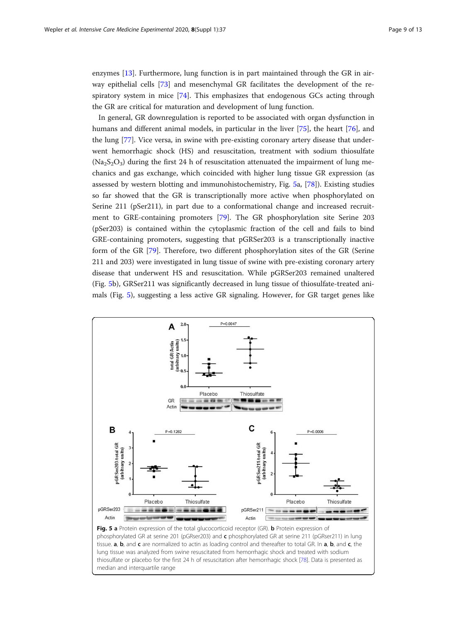enzymes [[13\]](#page-10-0). Furthermore, lung function is in part maintained through the GR in airway epithelial cells [[73](#page-12-0)] and mesenchymal GR facilitates the development of the respiratory system in mice [[74\]](#page-12-0). This emphasizes that endogenous GCs acting through the GR are critical for maturation and development of lung function.

In general, GR downregulation is reported to be associated with organ dysfunction in humans and different animal models, in particular in the liver [[75\]](#page-12-0), the heart [\[76\]](#page-12-0), and the lung [[77\]](#page-12-0). Vice versa, in swine with pre-existing coronary artery disease that underwent hemorrhagic shock (HS) and resuscitation, treatment with sodium thiosulfate  $(Na<sub>2</sub>S<sub>2</sub>O<sub>3</sub>)$  during the first 24 h of resuscitation attenuated the impairment of lung mechanics and gas exchange, which coincided with higher lung tissue GR expression (as assessed by western blotting and immunohistochemistry, Fig. 5a, [[78\]](#page-12-0)). Existing studies so far showed that the GR is transcriptionally more active when phosphorylated on Serine 211 (pSer211), in part due to a conformational change and increased recruitment to GRE-containing promoters [[79\]](#page-12-0). The GR phosphorylation site Serine 203 (pSer203) is contained within the cytoplasmic fraction of the cell and fails to bind GRE-containing promoters, suggesting that pGRSer203 is a transcriptionally inactive form of the GR [[79\]](#page-12-0). Therefore, two different phosphorylation sites of the GR (Serine 211 and 203) were investigated in lung tissue of swine with pre-existing coronary artery disease that underwent HS and resuscitation. While pGRSer203 remained unaltered (Fig. 5b), GRSer211 was significantly decreased in lung tissue of thiosulfate-treated animals (Fig. 5), suggesting a less active GR signaling. However, for GR target genes like

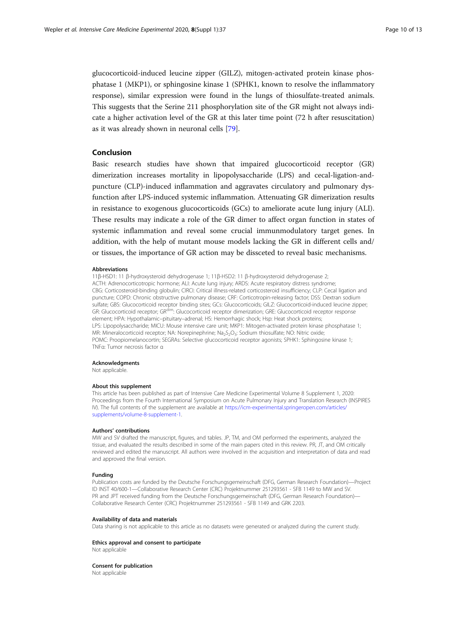glucocorticoid-induced leucine zipper (GILZ), mitogen-activated protein kinase phosphatase 1 (MKP1), or sphingosine kinase 1 (SPHK1, known to resolve the inflammatory response), similar expression were found in the lungs of thiosulfate-treated animals. This suggests that the Serine 211 phosphorylation site of the GR might not always indicate a higher activation level of the GR at this later time point (72 h after resuscitation) as it was already shown in neuronal cells [[79\]](#page-12-0).

### Conclusion

Basic research studies have shown that impaired glucocorticoid receptor (GR) dimerization increases mortality in lipopolysaccharide (LPS) and cecal-ligation-andpuncture (CLP)-induced inflammation and aggravates circulatory and pulmonary dysfunction after LPS-induced systemic inflammation. Attenuating GR dimerization results in resistance to exogenous glucocorticoids (GCs) to ameliorate acute lung injury (ALI). These results may indicate a role of the GR dimer to affect organ function in states of systemic inflammation and reveal some crucial immunmodulatory target genes. In addition, with the help of mutant mouse models lacking the GR in different cells and/ or tissues, the importance of GR action may be dissceted to reveal basic mechanisms.

#### Abbreviations

11β-HSD1: 11 β-hydroxysteroid dehydrogenase 1; 11β-HSD2: 11 β-hydroxysteroid dehydrogenase 2; ACTH: Adrenocorticotropic hormone; ALI: Acute lung injury; ARDS: Acute respiratory distress syndrome; CBG: Corticosteroid-binding globulin; CIRCI: Critical illness-related corticosteroid insufficiency; CLP: Cecal ligation and puncture; COPD: Chronic obstructive pulmonary disease; CRF: Corticotropin-releasing factor; DSS: Dextran sodium sulfate; GBS: Glucocorticoid receptor binding sites; GCs: Glucocorticoids; GILZ: Glucocorticoid-induced leucine zipper; GR: Glucocorticoid receptor; GR<sup>dim</sup>: Glucocorticoid receptor dimerization; GRE: Glucocorticoid receptor response element; HPA: Hypothalamic–pituitary–adrenal; HS: Hemorrhagic shock; Hsp: Heat shock proteins; LPS: Lipopolysaccharide; MICU: Mouse intensive care unit; MKP1: Mitogen-activated protein kinase phosphatase 1; MR: Mineralocorticoid receptor; NA: Norepinephrine; Na<sub>2</sub>S<sub>2</sub>O<sub>3</sub>: Sodium thiosulfate; NO: Nitric oxide; POMC: Proopiomelanocortin; SEGRAs: Selective glucocorticoid receptor agonists; SPHK1: Sphingosine kinase 1; TNFα: Tumor necrosis factor α

#### Acknowledgments

Not applicable.

#### About this supplement

This article has been published as part of Intensive Care Medicine Experimental Volume 8 Supplement 1, 2020: Proceedings from the Fourth International Symposium on Acute Pulmonary Injury and Translation Research (INSPIRES IV). The full contents of the supplement are available at [https://icm-experimental.springeropen.com/articles/](https://icm-experimental.springeropen.com/articles/supplements/volume-8-supplement-1) [supplements/volume-8-supplement-1](https://icm-experimental.springeropen.com/articles/supplements/volume-8-supplement-1).

#### Authors' contributions

MW and SV drafted the manuscript, figures, and tables. JP, TM, and OM performed the experiments, analyzed the tissue, and evaluated the results described in some of the main papers cited in this review. PR, JT, and OM critically reviewed and edited the manuscript. All authors were involved in the acquisition and interpretation of data and read and approved the final version.

#### Funding

Publication costs are funded by the Deutsche Forschungsgemeinschaft (DFG, German Research Foundation)—Project ID INST 40/600-1—Collaborative Research Center (CRC) Projektnummer 251293561 - SFB 1149 to MW and SV. PR and JPT received funding from the Deutsche Forschungsgemeinschaft (DFG, German Research Foundation)— Collaborative Research Center (CRC) Projektnummer 251293561 - SFB 1149 and GRK 2203.

#### Availability of data and materials

Data sharing is not applicable to this article as no datasets were generated or analyzed during the current study.

#### Ethics approval and consent to participate

Not applicable

Consent for publication Not applicable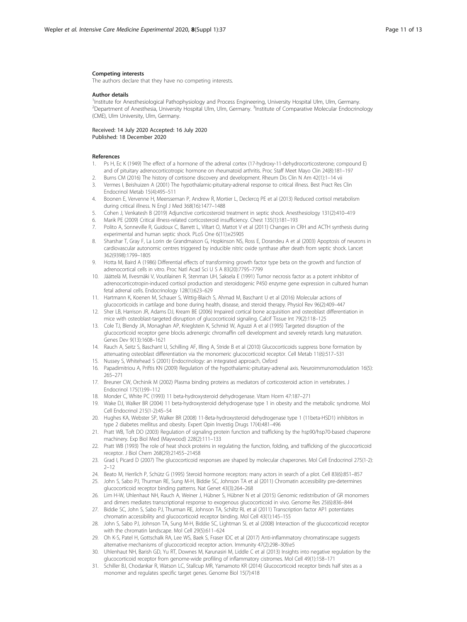#### <span id="page-10-0"></span>Competing interests

The authors declare that they have no competing interests.

#### Author details

<sup>1</sup>Institute for Anesthesiological Pathophysiology and Process Engineering, University Hospital Ulm, Ulm, Germany. <sup>2</sup>Department of Anesthesia, University Hospital Ulm, Ulm, Germany. <sup>3</sup>Institute of Comparative Molecular Endocrinology (CME), Ulm University, Ulm, Germany.

#### Received: 14 July 2020 Accepted: 16 July 2020 Published: 18 December 2020

#### References

- 1. Ps H, Ec K (1949) The effect of a hormone of the adrenal cortex (17-hydroxy-11-dehydrocorticosterone; compound E) and of pituitary adrenocorticotropic hormone on rheumatoid arthritis. Proc Staff Meet Mayo Clin 24(8):181–197
- 2. Burns CM (2016) The history of cortisone discovery and development. Rheum Dis Clin N Am 42(1):1–14 vii 3. Vermes I, Beishuizen A (2001) The hypothalamic-pituitary-adrenal response to critical illness. Best Pract Res Clin
- Endocrinol Metab 15(4):495–511
- 4. Boonen E, Vervenne H, Meersseman P, Andrew R, Mortier L, Declercq PE et al (2013) Reduced cortisol metabolism during critical illness. N Engl J Med 368(16):1477–1488
- 5. Cohen J, Venkatesh B (2019) Adjunctive corticosteroid treatment in septic shock. Anesthesiology 131(2):410–419
- 6. Marik PE (2009) Critical illness-related corticosteroid insufficiency. Chest 135(1):181–193
- 7. Polito A, Sonneville R, Guidoux C, Barrett L, Viltart O, Mattot V et al (2011) Changes in CRH and ACTH synthesis during experimental and human septic shock. PLoS One 6(11):e25905
- 8. Sharshar T, Gray F, La Lorin de Grandmaison G, Hopkinson NS, Ross E, Dorandeu A et al (2003) Apoptosis of neurons in cardiovascular autonomic centres triggered by inducible nitric oxide synthase after death from septic shock. Lancet 362(9398):1799–1805
- 9. Hotta M, Baird A (1986) Differential effects of transforming growth factor type beta on the growth and function of adrenocortical cells in vitro. Proc Natl Acad Sci U S A 83(20):7795–7799
- 10. Jäättelä M, Ilvesmäki V, Voutilainen R, Stenman UH, Saksela E (1991) Tumor necrosis factor as a potent inhibitor of adrenocorticotropin-induced cortisol production and steroidogenic P450 enzyme gene expression in cultured human fetal adrenal cells. Endocrinology 128(1):623–629
- 11. Hartmann K, Koenen M, Schauer S, Wittig-Blaich S, Ahmad M, Baschant U et al (2016) Molecular actions of glucocorticoids in cartilage and bone during health, disease, and steroid therapy. Physiol Rev 96(2):409–447
- 12. Sher LB, Harrison JR, Adams DJ, Kream BE (2006) Impaired cortical bone acquisition and osteoblast differentiation in mice with osteoblast-targeted disruption of glucocorticoid signaling. Calcif Tissue Int 79(2):118–125
- 13. Cole TJ, Blendy JA, Monaghan AP, Krieglstein K, Schmid W, Aguzzi A et al (1995) Targeted disruption of the glucocorticoid receptor gene blocks adrenergic chromaffin cell development and severely retards lung maturation. Genes Dev 9(13):1608–1621
- 14. Rauch A, Seitz S, Baschant U, Schilling AF, Illing A, Stride B et al (2010) Glucocorticoids suppress bone formation by attenuating osteoblast differentiation via the monomeric glucocorticoid receptor. Cell Metab 11(6):517–531
- 15. Nussey S, Whitehead S (2001) Endocrinology: an integrated approach, Oxford
- 16. Papadimitriou A, Priftis KN (2009) Regulation of the hypothalamic-pituitary-adrenal axis. Neuroimmunomodulation 16(5): 265–271
- 17. Breuner CW, Orchinik M (2002) Plasma binding proteins as mediators of corticosteroid action in vertebrates. J Endocrinol 175(1):99–112
- 18. Monder C, White PC (1993) 11 beta-hydroxysteroid dehydrogenase. Vitam Horm 47:187–271
- 19. Wake DJ, Walker BR (2004) 11 beta-hydroxysteroid dehydrogenase type 1 in obesity and the metabolic syndrome. Mol Cell Endocrinol 215(1-2):45–54
- 20. Hughes KA, Webster SP, Walker BR (2008) 11-Beta-hydroxysteroid dehydrogenase type 1 (11beta-HSD1) inhibitors in type 2 diabetes mellitus and obesity. Expert Opin Investig Drugs 17(4):481–496
- 21. Pratt WB, Toft DO (2003) Regulation of signaling protein function and trafficking by the hsp90/hsp70-based chaperone machinery. Exp Biol Med (Maywood) 228(2):111–133
- 22. Pratt WB (1993) The role of heat shock proteins in regulating the function, folding, and trafficking of the glucocorticoid receptor. J Biol Chem 268(29):21455–21458
- 23. Grad I, Picard D (2007) The glucocorticoid responses are shaped by molecular chaperones. Mol Cell Endocrinol 275(1-2):  $2 - 12$
- 24. Beato M, Herrlich P, Schütz G (1995) Steroid hormone receptors: many actors in search of a plot. Cell 83(6):851–857
- 25. John S, Sabo PJ, Thurman RE, Sung M-H, Biddie SC, Johnson TA et al (2011) Chromatin accessibility pre-determines glucocorticoid receptor binding patterns. Nat Genet 43(3):264–268
- 26. Lim H-W, Uhlenhaut NH, Rauch A, Weiner J, Hübner S, Hübner N et al (2015) Genomic redistribution of GR monomers and dimers mediates transcriptional response to exogenous glucocorticoid in vivo. Genome Res 25(6):836–844
- 27. Biddie SC, John S, Sabo PJ, Thurman RE, Johnson TA, Schiltz RL et al (2011) Transcription factor AP1 potentiates chromatin accessibility and glucocorticoid receptor binding. Mol Cell 43(1):145–155
- 28. John S, Sabo PJ, Johnson TA, Sung M-H, Biddie SC, Lightman SL et al (2008) Interaction of the glucocorticoid receptor with the chromatin landscape. Mol Cell 29(5):611–624
- 29. Oh K-S, Patel H, Gottschalk RA, Lee WS, Baek S, Fraser IDC et al (2017) Anti-inflammatory chromatinscape suggests alternative mechanisms of glucocorticoid receptor action. Immunity 47(2):298–309.e5
- 30. Uhlenhaut NH, Barish GD, Yu RT, Downes M, Karunasiri M, Liddle C et al (2013) Insights into negative regulation by the glucocorticoid receptor from genome-wide profiling of inflammatory cistromes. Mol Cell 49(1):158–171
- 31. Schiller BJ, Chodankar R, Watson LC, Stallcup MR, Yamamoto KR (2014) Glucocorticoid receptor binds half sites as a monomer and regulates specific target genes. Genome Biol 15(7):418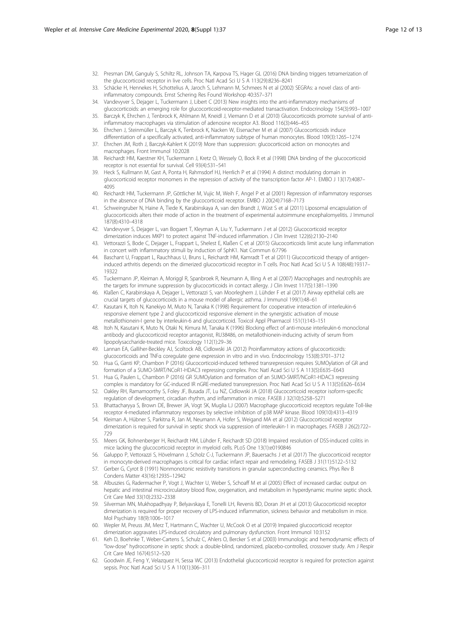- <span id="page-11-0"></span>32. Presman DM, Ganguly S, Schiltz RL, Johnson TA, Karpova TS, Hager GL (2016) DNA binding triggers tetramerization of the glucocorticoid receptor in live cells. Proc Natl Acad Sci U S A 113(29):8236–8241
- 33. Schäcke H, Hennekes H, Schottelius A, Jaroch S, Lehmann M, Schmees N et al (2002) SEGRAs: a novel class of antiinflammatory compounds. Ernst Schering Res Found Workshop 40:357–371
- 34. Vandevyver S, Dejager L, Tuckermann J, Libert C (2013) New insights into the anti-inflammatory mechanisms of glucocorticoids: an emerging role for glucocorticoid-receptor-mediated transactivation. Endocrinology 154(3):993–1007
- 35. Barczyk K, Ehrchen J, Tenbrock K, Ahlmann M, Kneidl J, Viemann D et al (2010) Glucocorticoids promote survival of antiinflammatory macrophages via stimulation of adenosine receptor A3. Blood 116(3):446–455
- 36. Ehrchen J, Steinmüller L, Barczyk K, Tenbrock K, Nacken W, Eisenacher M et al (2007) Glucocorticoids induce differentiation of a specifically activated, anti-inflammatory subtype of human monocytes. Blood 109(3):1265–1274
- 37. Ehrchen JM, Roth J, Barczyk-Kahlert K (2019) More than suppression: glucocorticoid action on monocytes and macrophages. Front Immunol 10:2028
- 38. Reichardt HM, Kaestner KH, Tuckermann J, Kretz O, Wessely O, Bock R et al (1998) DNA binding of the glucocorticoid receptor is not essential for survival. Cell 93(4):531–541
- 39. Heck S, Kullmann M, Gast A, Ponta H, Rahmsdorf HJ, Herrlich P et al (1994) A distinct modulating domain in glucocorticoid receptor monomers in the repression of activity of the transcription factor AP-1. EMBO J 13(17):4087– 4095
- 40. Reichardt HM, Tuckermann JP, Göttlicher M, Vujic M, Weih F, Angel P et al (2001) Repression of inflammatory responses in the absence of DNA binding by the glucocorticoid receptor. EMBO J 20(24):7168–7173
- 41. Schweingruber N, Haine A, Tiede K, Karabinskaya A, van den Brandt J, Wüst S et al (2011) Liposomal encapsulation of glucocorticoids alters their mode of action in the treatment of experimental autoimmune encephalomyelitis. J Immunol 187(8):4310–4318
- 42. Vandevyver S, Dejager L, van Bogaert T, Kleyman A, Liu Y, Tuckermann J et al (2012) Glucocorticoid receptor dimerization induces MKP1 to protect against TNF-induced inflammation. J Clin Invest 122(6):2130–2140
- 43. Vettorazzi S, Bode C, Dejager L, Frappart L, Shelest E, Klaßen C et al (2015) Glucocorticoids limit acute lung inflammation in concert with inflammatory stimuli by induction of SphK1. Nat Commun 6:7796
- Baschant U, Frappart L, Rauchhaus U, Bruns L, Reichardt HM, Kamradt T et al (2011) Glucocorticoid therapy of antigeninduced arthritis depends on the dimerized glucocorticoid receptor in T cells. Proc Natl Acad Sci U S A 108(48):19317– 19322
- 45. Tuckermann JP, Kleiman A, Moriggl R, Spanbroek R, Neumann A, Illing A et al (2007) Macrophages and neutrophils are the targets for immune suppression by glucocorticoids in contact allergy. J Clin Invest 117(5):1381–1390
- 46. Klaßen C, Karabinskaya A, Dejager L, Vettorazzi S, van Moorleghem J, Lühder F et al (2017) Airway epithelial cells are crucial targets of glucocorticoids in a mouse model of allergic asthma. J Immunol 199(1):48–61
- 47. Kasutani K, Itoh N, Kanekiyo M, Muto N, Tanaka K (1998) Requirement for cooperative interaction of interleukin-6 responsive element type 2 and glucocorticoid responsive element in the synergistic activation of mouse metallothionein-I gene by interleukin-6 and glucocorticoid. Toxicol Appl Pharmacol 151(1):143–151
- 48. Itoh N, Kasutani K, Muto N, Otaki N, Kimura M, Tanaka K (1996) Blocking effect of anti-mouse interleukin-6 monoclonal antibody and glucocorticoid receptor antagonist, RU38486, on metallothionein-inducing activity of serum from lipopolysaccharide-treated mice. Toxicology 112(1):29–36
- 49. Lannan EA, Galliher-Beckley AJ, Scoltock AB, Cidlowski JA (2012) Proinflammatory actions of glucocorticoids: glucocorticoids and TNFα coregulate gene expression in vitro and in vivo. Endocrinology 153(8):3701–3712
- 50. Hua G, Ganti KP, Chambon P (2016) Glucocorticoid-induced tethered transrepression requires SUMOylation of GR and formation of a SUMO-SMRT/NCoR1-HDAC3 repressing complex. Proc Natl Acad Sci U S A 113(5):E635–E643
- 51. Hua G, Paulen L, Chambon P (2016) GR SUMOylation and formation of an SUMO-SMRT/NCoR1-HDAC3 repressing complex is mandatory for GC-induced IR nGRE-mediated transrepression. Proc Natl Acad Sci U S A 113(5):E626–E634
- 52. Oakley RH, Ramamoorthy S, Foley JF, Busada JT, Lu NZ, Cidlowski JA (2018) Glucocorticoid receptor isoform-specific regulation of development, circadian rhythm, and inflammation in mice. FASEB J 32(10):5258–5271
- 53. Bhattacharyya S, Brown DE, Brewer JA, Vogt SK, Muglia LJ (2007) Macrophage glucocorticoid receptors regulate Toll-like receptor 4-mediated inflammatory responses by selective inhibition of p38 MAP kinase. Blood 109(10):4313–4319
- 54. Kleiman A, Hübner S, Parkitna R, Jan M, Neumann A, Hofer S, Weigand MA et al (2012) Glucocorticoid receptor dimerization is required for survival in septic shock via suppression of interleukin-1 in macrophages. FASEB J 26(2):722– 729
- 55. Meers GK, Bohnenberger H, Reichardt HM, Lühder F, Reichardt SD (2018) Impaired resolution of DSS-induced colitis in mice lacking the glucocorticoid receptor in myeloid cells. PLoS One 13(1):e0190846
- 56. Galuppo P, Vettorazzi S, Hövelmann J, Scholz C-J, Tuckermann JP, Bauersachs J et al (2017) The glucocorticoid receptor in monocyte-derived macrophages is critical for cardiac infarct repair and remodeling. FASEB J 31(11):5122–5132
- 57. Gerber G, Cyrot B (1991) Nonmonotonic resistivity transitions in granular superconducting ceramics. Phys Rev B Condens Matter 43(16):12935–12942
- 58. Albuszies G, Radermacher P, Vogt J, Wachter U, Weber S, Schoaff M et al (2005) Effect of increased cardiac output on hepatic and intestinal microcirculatory blood flow, oxygenation, and metabolism in hyperdynamic murine septic shock. Crit Care Med 33(10):2332–2338
- 59. Silverman MN, Mukhopadhyay P, Belyavskaya E, Tonelli LH, Revenis BD, Doran JH et al (2013) Glucocorticoid receptor dimerization is required for proper recovery of LPS-induced inflammation, sickness behavior and metabolism in mice. Mol Psychiatry 18(9):1006–1017
- 60. Wepler M, Preuss JM, Merz T, Hartmann C, Wachter U, McCook O et al (2019) Impaired glucocorticoid receptor dimerization aggravates LPS-induced circulatory and pulmonary dysfunction. Front Immunol 10:3152
- 61. Keh D, Boehnke T, Weber-Cartens S, Schulz C, Ahlers O, Bercker S et al (2003) Immunologic and hemodynamic effects of "low-dose" hydrocortisone in septic shock: a double-blind, randomized, placebo-controlled, crossover study. Am J Respir Crit Care Med 167(4):512–520
- 62. Goodwin JE, Feng Y, Velazquez H, Sessa WC (2013) Endothelial glucocorticoid receptor is required for protection against sepsis. Proc Natl Acad Sci U S A 110(1):306–311